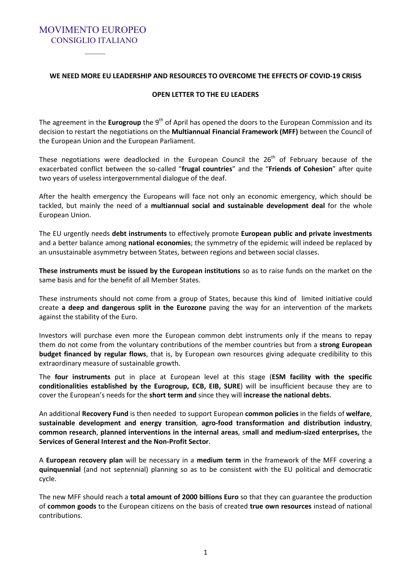**WE NEED MORE EU LEADERSHIP AND RESOURCES TO OVERCOME THE EFFECTS OF COVID-19 CRISIS** 

MOVIMENTO EUROPEO CONSIGLIO ITALIANO

#### **OPEN LETTER TO THE EU LEADERS**

The agreement in the **Eurogroup** the 9<sup>th</sup> of April has opened the doors to the European Commission and its decision to restart the negotiations on the **Multiannual Financial Framework (MFF)** between the Council of the European Union and the European Parliament.

These negotiations were deadlocked in the European Council the  $26<sup>th</sup>$  of February because of the exacerbated conflict between the so-called "**frugal countries**" and the "**Friends of Cohesion**" after quite two years of useless intergovernmental dialogue of the deaf.

After the health emergency the Europeans will face not only an economic emergency, which should be tackled, but mainly the need of a **multiannual social and sustainable development deal** for the whole European Union.

The EU urgently needs **debt instruments** to effectively promote **European public and private investments** and a better balance among **national economies**; the symmetry of the epidemic will indeed be replaced by an unsustainable asymmetry between States, between regions and between social classes.

**These instruments must be issued by the European institutions** so as to raise funds on the market on the same basis and for the benefit of all Member States.

These instruments should not come from a group of States, because this kind of limited initiative could create **a deep and dangerous split in the Eurozone** paving the way for an intervention of the markets against the stability of the Euro.

Investors will purchase even more the European common debt instruments only if the means to repay them do not come from the voluntary contributions of the member countries but from a **strong European budget financed by regular flows**, that is, by European own resources giving adequate credibility to this extraordinary measure of sustainable growth.

The **four instruments** put in place at European level at this stage (**ESM facility with the specific conditionalities established by the Eurogroup, ECB, EIB, SURE**) will be insufficient because they are to cover the European's needs for the **short term and** since they will **increase the national debts.** 

An additional **Recovery Fund** is then needed to support European **common policies** in the fields of **welfare**, **sustainable development and energy transition**, **agro-food transformation and distribution industry**, **common research**, **planned interventions in the internal areas**, s**mall and medium-sized enterprises,** the **Services of General Interest and the Non-Profit Sector**.

A **European recovery plan** will be necessary in a **medium term** in the framework of the MFF covering a **quinquennial** (and not septennial) planning so as to be consistent with the EU political and democratic cycle.

The new MFF should reach a **total amount of 2000 billions Euro** so that they can guarantee the production of **common goods** to the European citizens on the basis of created **true own resources** instead of national contributions.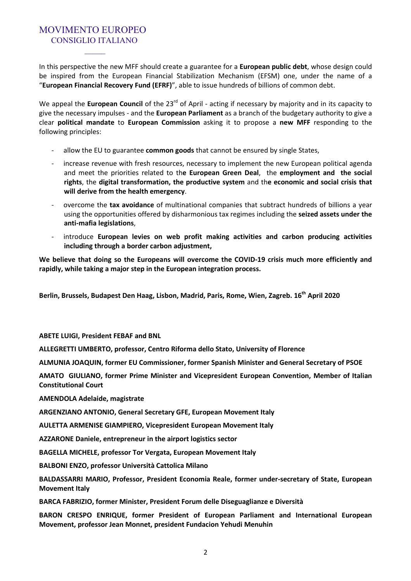In this perspective the new MFF should create a guarantee for a **European public debt**, whose design could be inspired from the European Financial Stabilization Mechanism (EFSM) one, under the name of a "**European Financial Recovery Fund (EFRF)**", able to issue hundreds of billions of common debt.

We appeal the **European Council** of the 23<sup>rd</sup> of April - acting if necessary by majority and in its capacity to give the necessary impulses - and the **European Parliament** as a branch of the budgetary authority to give a clear **political mandate** to **European Commission** asking it to propose a **new MFF** responding to the following principles:

- allow the EU to guarantee **common goods** that cannot be ensured by single States,
- increase revenue with fresh resources, necessary to implement the new European political agenda and meet the priorities related to th**e European Green Deal**, the **employment and the social rights**, the **digital transformation, the productive system** and th**e economic and social crisis that will derive from the health emergency**.
- overcome the **tax avoidance** of multinational companies that subtract hundreds of billions a year using the opportunities offered by disharmonious tax regimes including the **seized assets under the anti-mafia legislations**,
- introduce **European levies on web profit making activities and carbon producing activities including through a border carbon adjustment,**

**We believe that doing so the Europeans will overcome the COVID-19 crisis much more efficiently and rapidly, while taking a major step in the European integration process.** 

**Berlin, Brussels, Budapest Den Haag, Lisbon, Madrid, Paris, Rome, Wien, Zagreb. 16th April 2020** 

**ABETE LUIGI, President FEBAF and BNL** 

**ALLEGRETTI UMBERTO, professor, Centro Riforma dello Stato, University of Florence** 

**ALMUNIA JOAQUIN, former EU Commissioner, former Spanish Minister and General Secretary of PSOE** 

**AMATO GIULIANO, former Prime Minister and Vicepresident European Convention, Member of Italian Constitutional Court** 

**AMENDOLA Adelaide, magistrate** 

**ARGENZIANO ANTONIO, General Secretary GFE, European Movement Italy** 

**AULETTA ARMENISE GIAMPIERO, Vicepresident European Movement Italy** 

**AZZARONE Daniele, entrepreneur in the airport logistics sector** 

**BAGELLA MICHELE, professor Tor Vergata, European Movement Italy** 

**BALBONI ENZO, professor Università Cattolica Milano**

**BALDASSARRI MARIO, Professor, President Economia Reale, former under-secretary of State, European Movement Italy** 

**BARCA FABRIZIO, former Minister, President Forum delle Diseguaglianze e Diversità** 

**BARON CRESPO ENRIQUE, former President of European Parliament and International European Movement, professor Jean Monnet, president Fundacion Yehudi Menuhin**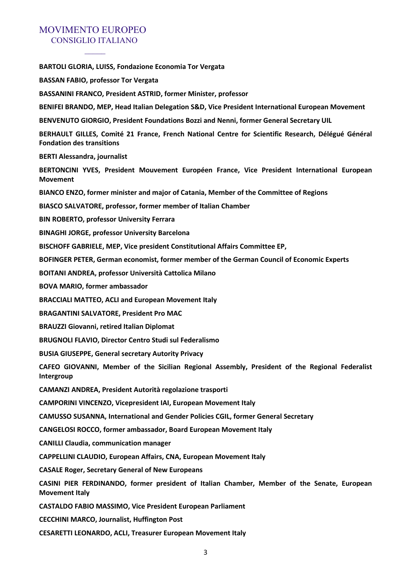**BARTOLI GLORIA, LUISS, Fondazione Economia Tor Vergata BASSAN FABIO, professor Tor Vergata BASSANINI FRANCO, President ASTRID, former Minister, professor BENIFEI BRANDO, MEP, Head Italian Delegation S&D, Vice President International European Movement BENVENUTO GIORGIO, President Foundations Bozzi and Nenni, former General Secretary UIL BERHAULT GILLES, Comité 21 France, French National Centre for Scientific Research, Délégué Général Fondation des transitions BERTI Alessandra, journalist BERTONCINI YVES, President Mouvement Européen France, Vice President International European Movement BIANCO ENZO, former minister and major of Catania, Member of the Committee of Regions BIASCO SALVATORE, professor, former member of Italian Chamber BIN ROBERTO, professor University Ferrara BINAGHI JORGE, professor University Barcelona BISCHOFF GABRIELE, MEP, Vice president Constitutional Affairs Committee EP, BOFINGER PETER, German economist, former member of the German Council of Economic Experts BOITANI ANDREA, professor Università Cattolica Milano BOVA MARIO, former ambassador BRACCIALI MATTEO, ACLI and European Movement Italy BRAGANTINI SALVATORE, President Pro MAC BRAUZZI Giovanni, retired Italian Diplomat BRUGNOLI FLAVIO, Director Centro Studi sul Federalismo BUSIA GIUSEPPE, General secretary Autority Privacy CAFEO GIOVANNI, Member of the Sicilian Regional Assembly, President of the Regional Federalist Intergroup CAMANZI ANDREA, President Autorità regolazione trasporti CAMPORINI VINCENZO, Vicepresident IAI, European Movement Italy CAMUSSO SUSANNA, International and Gender Policies CGIL, former General Secretary CANGELOSI ROCCO, former ambassador, Board European Movement Italy CANILLI Claudia, communication manager CAPPELLINI CLAUDIO, European Affairs, CNA, European Movement Italy CASALE Roger, Secretary General of New Europeans CASINI PIER FERDINANDO, former president of Italian Chamber, Member of the Senate, European Movement Italy CASTALDO FABIO MASSIMO, Vice President European Parliament CECCHINI MARCO, Journalist, Huffington Post CESARETTI LEONARDO, ACLI, Treasurer European Movement Italy**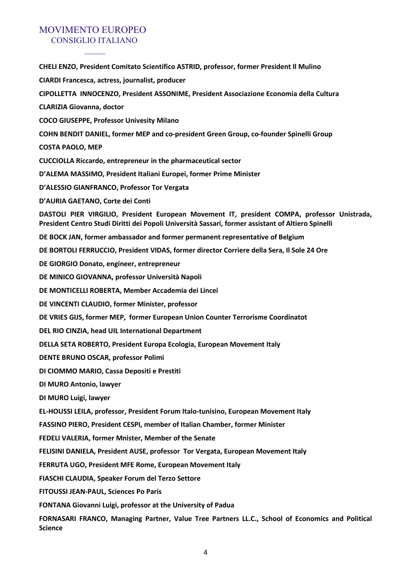**CHELI ENZO, President Comitato Scientifico ASTRID, professor, former President Il Mulino CIARDI Francesca, actress, journalist, producer CIPOLLETTA INNOCENZO, President ASSONIME, President Associazione Economia della Cultura CLARIZIA Giovanna, doctor COCO GIUSEPPE, Professor Univesity Milano COHN BENDIT DANIEL, former MEP and co-president Green Group, co-founder Spinelli Group COSTA PAOLO, MEP CUCCIOLLA Riccardo, entrepreneur in the pharmaceutical sector D'ALEMA MASSIMO, President Italiani Europei, former Prime Minister D'ALESSIO GIANFRANCO, Professor Tor Vergata D'AURIA GAETANO, Corte dei Conti DASTOLI PIER VIRGILIO, President European Movement IT, president COMPA, professor Unistrada, President Centro Studi Diritti dei Popoli Università Sassari, former assistant of Altiero Spinelli DE BOCK JAN, former ambassador and former permanent representative of Belgium DE BORTOLI FERRUCCIO, President VIDAS, former director Corriere della Sera, Il Sole 24 Ore DE GIORGIO Donato, engineer, entrepreneur DE MINICO GIOVANNA, professor Università Napoli DE MONTICELLI ROBERTA, Member Accademia dei Lincei DE VINCENTI CLAUDIO, former Minister, professor DE VRIES GIJS, former MEP, former European Union Counter Terrorisme Coordinatot DEL RIO CINZIA, head UIL International Department DELLA SETA ROBERTO, President Europa Ecologia, European Movement Italy DENTE BRUNO OSCAR, professor Polimi DI CIOMMO MARIO, Cassa Depositi e Prestiti DI MURO Antonio, lawyer DI MURO Luigi, lawyer EL-HOUSSI LEILA, professor, President Forum Italo-tunisino, European Movement Italy FASSINO PIERO, President CESPI, member of Italian Chamber, former Minister FEDELI VALERIA, former Mnister, Member of the Senate FELISINI DANIELA, President AUSE, professor Tor Vergata, European Movement Italy FERRUTA UGO, President MFE Rome, European Movement Italy FIASCHI CLAUDIA, Speaker Forum del Terzo Settore FITOUSSI JEAN-PAUL, Sciences Po Paris FONTANA Giovanni Luigi, professor at the University of Padua FORNASARI FRANCO, Managing Partner, Value Tree Partners LL.C., School of Economics and Political Science**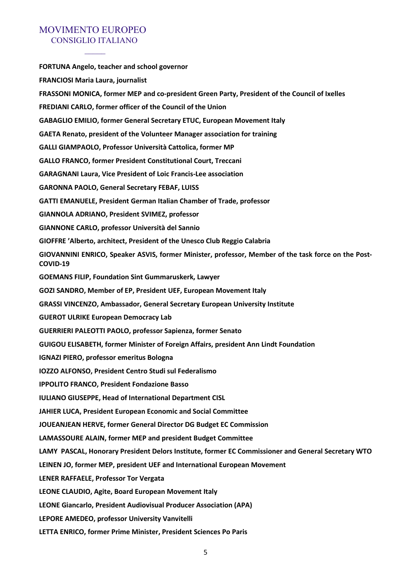**FORTUNA Angelo, teacher and school governor FRANCIOSI Maria Laura, journalist FRASSONI MONICA, former MEP and co-president Green Party, President of the Council of Ixelles FREDIANI CARLO, former officer of the Council of the Union GABAGLIO EMILIO, former General Secretary ETUC, European Movement Italy GAETA Renato, president of the Volunteer Manager association for training GALLI GIAMPAOLO, Professor Università Cattolica, former MP GALLO FRANCO, former President Constitutional Court, Treccani GARAGNANI Laura, Vice President of Loic Francis-Lee association GARONNA PAOLO, General Secretary FEBAF, LUISS GATTI EMANUELE, President German Italian Chamber of Trade, professor GIANNOLA ADRIANO, President SVIMEZ, professor GIANNONE CARLO, professor Università del Sannio GIOFFRE 'Alberto, architect, President of the Unesco Club Reggio Calabria GIOVANNINI ENRICO, Speaker ASVIS, former Minister, professor, Member of the task force on the Post-COVID-19 GOEMANS FILIP, Foundation Sint Gummaruskerk, Lawyer GOZI SANDRO, Member of EP, President UEF, European Movement Italy GRASSI VINCENZO, Ambassador, General Secretary European University Institute GUEROT ULRIKE European Democracy Lab GUERRIERI PALEOTTI PAOLO, professor Sapienza, former Senato GUIGOU ELISABETH, former Minister of Foreign Affairs, president Ann Lindt Foundation IGNAZI PIERO, professor emeritus Bologna IOZZO ALFONSO, President Centro Studi sul Federalismo IPPOLITO FRANCO, President Fondazione Basso IULIANO GIUSEPPE, Head of International Department CISL JAHIER LUCA, President European Economic and Social Committee JOUEANJEAN HERVE, former General Director DG Budget EC Commission LAMASSOURE ALAIN, former MEP and president Budget Committee LAMY PASCAL, Honorary President Delors Institute, former EC Commissioner and General Secretary WTO LEINEN JO, former MEP, president UEF and International European Movement LENER RAFFAELE, Professor Tor Vergata LEONE CLAUDIO, Agite, Board European Movement Italy LEONE Giancarlo, President Audiovisual Producer Association (APA) LEPORE AMEDEO, professor University Vanvitelli LETTA ENRICO, former Prime Minister, President Sciences Po Paris**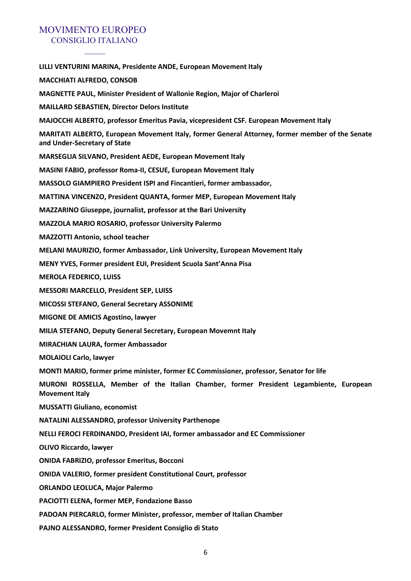$\overline{\phantom{a}}$ 

| LILLI VENTURINI MARINA, Presidente ANDE, European Movement Italy                                                                |
|---------------------------------------------------------------------------------------------------------------------------------|
| <b>MACCHIATI ALFREDO, CONSOB</b>                                                                                                |
| <b>MAGNETTE PAUL, Minister President of Wallonie Region, Major of Charleroi</b>                                                 |
| <b>MAILLARD SEBASTIEN, Director Delors Institute</b>                                                                            |
| MAJOCCHI ALBERTO, professor Emeritus Pavia, vicepresident CSF. European Movement Italy                                          |
| MARITATI ALBERTO, European Movement Italy, former General Attorney, former member of the Senate<br>and Under-Secretary of State |
| MARSEGLIA SILVANO, President AEDE, European Movement Italy                                                                      |
| MASINI FABIO, professor Roma-II, CESUE, European Movement Italy                                                                 |
| MASSOLO GIAMPIERO President ISPI and Fincantieri, former ambassador,                                                            |
| MATTINA VINCENZO, President QUANTA, former MEP, European Movement Italy                                                         |
| <b>MAZZARINO Giuseppe, journalist, professor at the Bari University</b>                                                         |
| <b>MAZZOLA MARIO ROSARIO, professor University Palermo</b>                                                                      |
| MAZZOTTI Antonio, school teacher                                                                                                |
| MELANI MAURIZIO, former Ambassador, Link University, European Movement Italy                                                    |
| MENY YVES, Former president EUI, President Scuola Sant'Anna Pisa                                                                |
| <b>MEROLA FEDERICO, LUISS</b>                                                                                                   |
| <b>MESSORI MARCELLO, President SEP, LUISS</b>                                                                                   |
| MICOSSI STEFANO, General Secretary ASSONIME                                                                                     |
| <b>MIGONE DE AMICIS Agostino, lawyer</b>                                                                                        |
| MILIA STEFANO, Deputy General Secretary, European Movemnt Italy                                                                 |
| MIRACHIAN LAURA, former Ambassador                                                                                              |
| <b>MOLAIOLI Carlo, lawyer</b>                                                                                                   |
| MONTI MARIO, former prime minister, former EC Commissioner, professor, Senator for life                                         |
| MURONI ROSSELLA, Member of the Italian Chamber, former President Legambiente, European<br><b>Movement Italy</b>                 |
| <b>MUSSATTI Giuliano, economist</b>                                                                                             |
| NATALINI ALESSANDRO, professor University Parthenope                                                                            |
| NELLI FEROCI FERDINANDO, President IAI, former ambassador and EC Commissioner                                                   |
| <b>OLIVO Riccardo, lawyer</b>                                                                                                   |
| <b>ONIDA FABRIZIO, professor Emeritus, Bocconi</b>                                                                              |
| <b>ONIDA VALERIO, former president Constitutional Court, professor</b>                                                          |
| <b>ORLANDO LEOLUCA, Major Palermo</b>                                                                                           |
| PACIOTTI ELENA, former MEP, Fondazione Basso                                                                                    |
| PADOAN PIERCARLO, former Minister, professor, member of Italian Chamber                                                         |
| PAJNO ALESSANDRO, former President Consiglio di Stato                                                                           |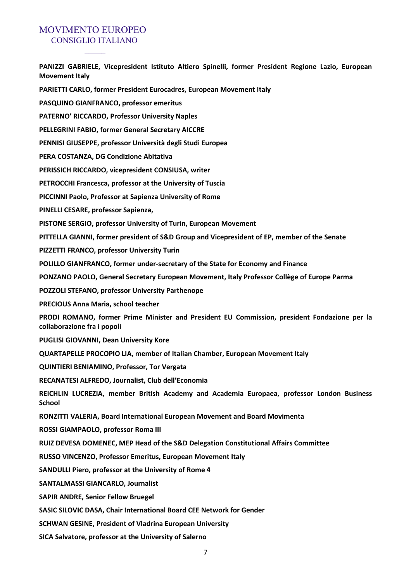**PANIZZI GABRIELE, Vicepresident Istituto Altiero Spinelli, former President Regione Lazio, European Movement Italy PARIETTI CARLO, former President Eurocadres, European Movement Italy PASQUINO GIANFRANCO, professor emeritus PATERNO' RICCARDO, Professor University Naples PELLEGRINI FABIO, former General Secretary AICCRE PENNISI GIUSEPPE, professor Università degli Studi Europea PERA COSTANZA, DG Condizione Abitativa PERISSICH RICCARDO, vicepresident CONSIUSA, writer PETROCCHI Francesca, professor at the University of Tuscia PICCINNI Paolo, Professor at Sapienza University of Rome PINELLI CESARE, professor Sapienza, PISTONE SERGIO, professor University of Turin, European Movement PITTELLA GIANNI, former president of S&D Group and Vicepresident of EP, member of the Senate PIZZETTI FRANCO, professor University Turin POLILLO GIANFRANCO, former under-secretary of the State for Economy and Finance PONZANO PAOLO, General Secretary European Movement, Italy Professor Collège of Europe Parma POZZOLI STEFANO, professor University Parthenope PRECIOUS Anna Maria, school teacher PRODI ROMANO, former Prime Minister and President EU Commission, president Fondazione per la collaborazione fra i popoli PUGLISI GIOVANNI, Dean University Kore QUARTAPELLE PROCOPIO LIA, member of Italian Chamber, European Movement Italy QUINTIERI BENIAMINO, Professor, Tor Vergata RECANATESI ALFREDO, Journalist, Club dell'Economia REICHLIN LUCREZIA, member British Academy and Academia Europaea, professor London Business School RONZITTI VALERIA, Board International European Movement and Board Movimenta ROSSI GIAMPAOLO, professor Roma III RUIZ DEVESA DOMENEC, MEP Head of the S&D Delegation Constitutional Affairs Committee RUSSO VINCENZO, Professor Emeritus, European Movement Italy SANDULLI Piero, professor at the University of Rome 4 SANTALMASSI GIANCARLO, Journalist SAPIR ANDRE, Senior Fellow Bruegel SASIC SILOVIC DASA, Chair International Board CEE Network for Gender SCHWAN GESINE, President of Vladrina European University SICA Salvatore, professor at the University of Salerno**